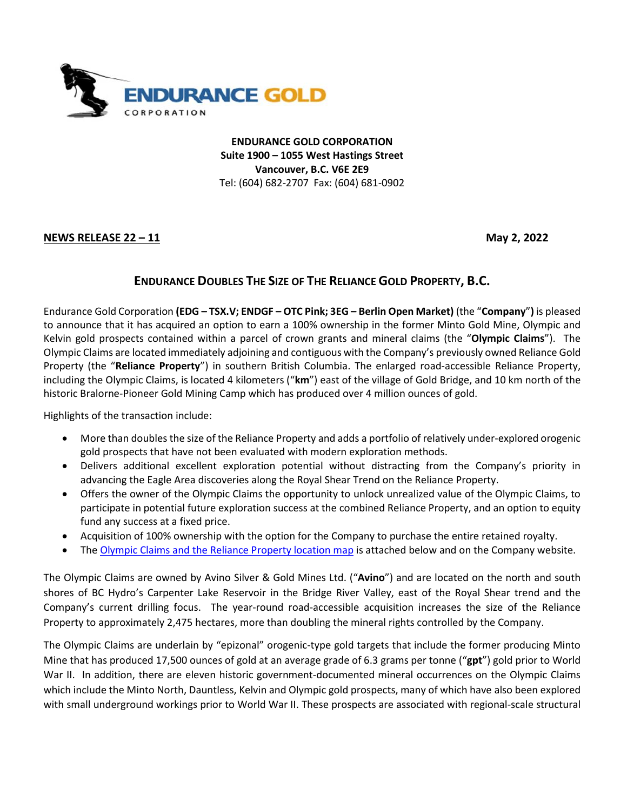

**ENDURANCE GOLD CORPORATION Suite 1900 – 1055 West Hastings Street Vancouver, B.C. V6E 2E9** Tel: (604) 682-2707 Fax: (604) 681-0902

**NEWS RELEASE 22 – 11 May 2, 2022**

## **ENDURANCE DOUBLES THE SIZE OF THE RELIANCE GOLD PROPERTY, B.C.**

Endurance Gold Corporation **(EDG – TSX.V; ENDGF – OTC Pink; 3EG – Berlin Open Market)** (the "**Company**"**)** is pleased to announce that it has acquired an option to earn a 100% ownership in the former Minto Gold Mine, Olympic and Kelvin gold prospects contained within a parcel of crown grants and mineral claims (the "**Olympic Claims**"). The Olympic Claims are located immediately adjoining and contiguous with the Company's previously owned Reliance Gold Property (the "**Reliance Property**") in southern British Columbia. The enlarged road-accessible Reliance Property, including the Olympic Claims, is located 4 kilometers ("**km**") east of the village of Gold Bridge, and 10 km north of the historic Bralorne-Pioneer Gold Mining Camp which has produced over 4 million ounces of gold.

Highlights of the transaction include:

- More than doubles the size of the Reliance Property and adds a portfolio of relatively under-explored orogenic gold prospects that have not been evaluated with modern exploration methods.
- Delivers additional excellent exploration potential without distracting from the Company's priority in advancing the Eagle Area discoveries along the Royal Shear Trend on the Reliance Property.
- Offers the owner of the Olympic Claims the opportunity to unlock unrealized value of the Olympic Claims, to participate in potential future exploration success at the combined Reliance Property, and an option to equity fund any success at a fixed price.
- Acquisition of 100% ownership with the option for the Company to purchase the entire retained royalty.
- Th[e Olympic Claims and the Reliance Property location map](https://endurancegold.com/site/assets/files/6897/olympic_minto_reliance_location_map_pr_v4.pdf) is attached below and on the Company website.

The Olympic Claims are owned by Avino Silver & Gold Mines Ltd. ("**Avino**") and are located on the north and south shores of BC Hydro's Carpenter Lake Reservoir in the Bridge River Valley, east of the Royal Shear trend and the Company's current drilling focus. The year-round road-accessible acquisition increases the size of the Reliance Property to approximately 2,475 hectares, more than doubling the mineral rights controlled by the Company.

The Olympic Claims are underlain by "epizonal" orogenic-type gold targets that include the former producing Minto Mine that has produced 17,500 ounces of gold at an average grade of 6.3 grams per tonne ("**gpt**") gold prior to World War II. In addition, there are eleven historic government-documented mineral occurrences on the Olympic Claims which include the Minto North, Dauntless, Kelvin and Olympic gold prospects, many of which have also been explored with small underground workings prior to World War II. These prospects are associated with regional-scale structural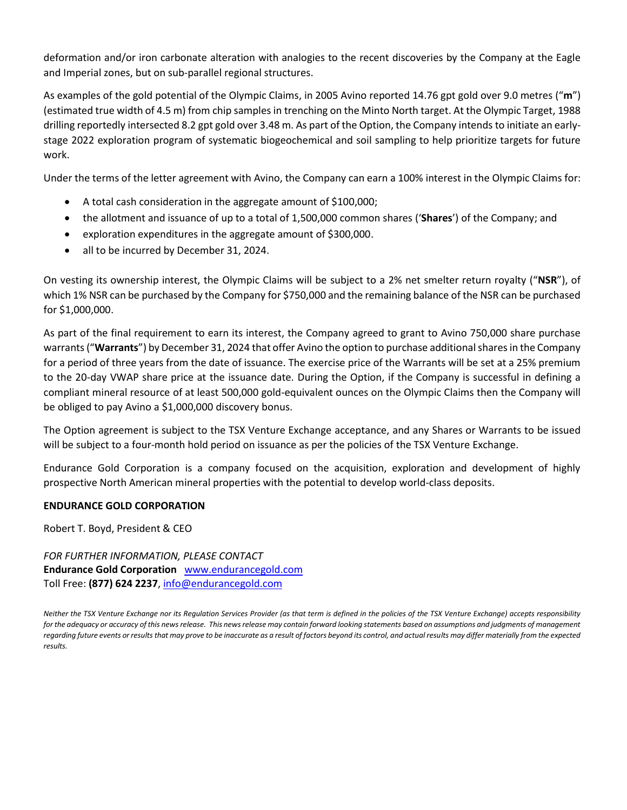deformation and/or iron carbonate alteration with analogies to the recent discoveries by the Company at the Eagle and Imperial zones, but on sub-parallel regional structures.

As examples of the gold potential of the Olympic Claims, in 2005 Avino reported 14.76 gpt gold over 9.0 metres ("**m**") (estimated true width of 4.5 m) from chip samples in trenching on the Minto North target. At the Olympic Target, 1988 drilling reportedly intersected 8.2 gpt gold over 3.48 m. As part of the Option, the Company intends to initiate an earlystage 2022 exploration program of systematic biogeochemical and soil sampling to help prioritize targets for future work.

Under the terms of the letter agreement with Avino, the Company can earn a 100% interest in the Olympic Claims for:

- A total cash consideration in the aggregate amount of \$100,000;
- the allotment and issuance of up to a total of 1,500,000 common shares ('**Shares**') of the Company; and
- exploration expenditures in the aggregate amount of \$300,000.
- all to be incurred by December 31, 2024.

On vesting its ownership interest, the Olympic Claims will be subject to a 2% net smelter return royalty ("**NSR**"), of which 1% NSR can be purchased by the Company for \$750,000 and the remaining balance of the NSR can be purchased for \$1,000,000.

As part of the final requirement to earn its interest, the Company agreed to grant to Avino 750,000 share purchase warrants("**Warrants**") by December 31, 2024 that offer Avino the option to purchase additional shares in the Company for a period of three years from the date of issuance. The exercise price of the Warrants will be set at a 25% premium to the 20-day VWAP share price at the issuance date. During the Option, if the Company is successful in defining a compliant mineral resource of at least 500,000 gold-equivalent ounces on the Olympic Claims then the Company will be obliged to pay Avino a \$1,000,000 discovery bonus.

The Option agreement is subject to the TSX Venture Exchange acceptance, and any Shares or Warrants to be issued will be subject to a four-month hold period on issuance as per the policies of the TSX Venture Exchange.

Endurance Gold Corporation is a company focused on the acquisition, exploration and development of highly prospective North American mineral properties with the potential to develop world-class deposits.

## **ENDURANCE GOLD CORPORATION**

Robert T. Boyd, President & CEO

*FOR FURTHER INFORMATION, PLEASE CONTACT* **Endurance Gold Corporation** [www.endurancegold.com](http://www.endurancegold.com/) Toll Free: **(877) 624 2237**, [info@endurancegold.com](mailto:info@endurancegold.com)

*Neither the TSX Venture Exchange nor its Regulation Services Provider (as that term is defined in the policies of the TSX Venture Exchange) accepts responsibility for the adequacy or accuracy of this news release. This news release may contain forward looking statements based on assumptions and judgments of management regarding future events or results that may prove to be inaccurate as a result of factors beyond its control, and actual results may differ materially from the expected results.*